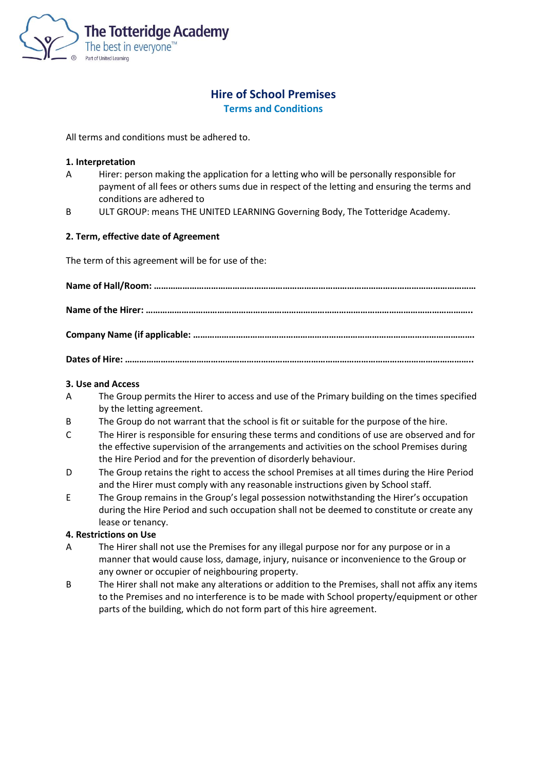

# **Hire of School Premises**

**Terms and Conditions**

All terms and conditions must be adhered to.

#### **1. Interpretation**

- A Hirer: person making the application for a letting who will be personally responsible for payment of all fees or others sums due in respect of the letting and ensuring the terms and conditions are adhered to
- B ULT GROUP: means THE UNITED LEARNING Governing Body, The Totteridge Academy.

## **2. Term, effective date of Agreement**

The term of this agreement will be for use of the:

#### **3. Use and Access**

- A The Group permits the Hirer to access and use of the Primary building on the times specified by the letting agreement.
- B The Group do not warrant that the school is fit or suitable for the purpose of the hire.
- C The Hirer is responsible for ensuring these terms and conditions of use are observed and for the effective supervision of the arrangements and activities on the school Premises during the Hire Period and for the prevention of disorderly behaviour.
- D The Group retains the right to access the school Premises at all times during the Hire Period and the Hirer must comply with any reasonable instructions given by School staff.
- E The Group remains in the Group's legal possession notwithstanding the Hirer's occupation during the Hire Period and such occupation shall not be deemed to constitute or create any lease or tenancy.

#### **4. Restrictions on Use**

- A The Hirer shall not use the Premises for any illegal purpose nor for any purpose or in a manner that would cause loss, damage, injury, nuisance or inconvenience to the Group or any owner or occupier of neighbouring property.
- B The Hirer shall not make any alterations or addition to the Premises, shall not affix any items to the Premises and no interference is to be made with School property/equipment or other parts of the building, which do not form part of this hire agreement.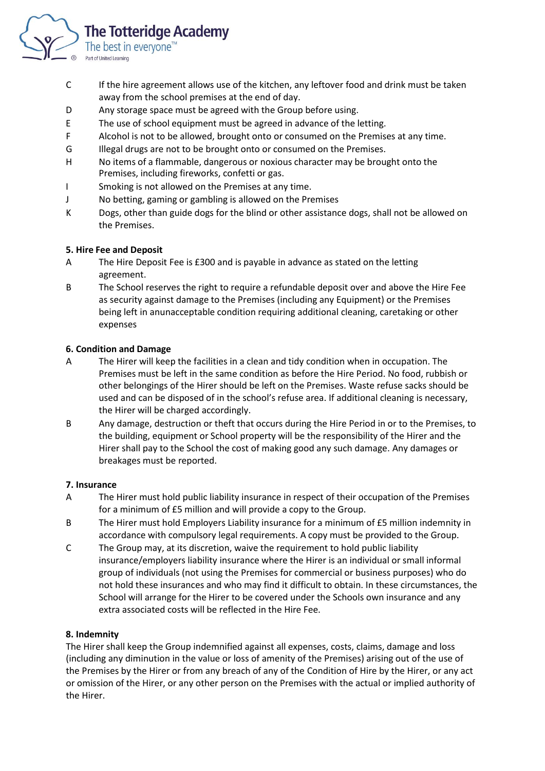

- C If the hire agreement allows use of the kitchen, any leftover food and drink must be taken away from the school premises at the end of day.
- D Any storage space must be agreed with the Group before using.
- E The use of school equipment must be agreed in advance of the letting.
- F Alcohol is not to be allowed, brought onto or consumed on the Premises at any time.
- G Illegal drugs are not to be brought onto or consumed on the Premises.
- H No items of a flammable, dangerous or noxious character may be brought onto the Premises, including fireworks, confetti or gas.
- I Smoking is not allowed on the Premises at any time.
- J No betting, gaming or gambling is allowed on the Premises
- K Dogs, other than guide dogs for the blind or other assistance dogs, shall not be allowed on the Premises.

# **5. Hire Fee and Deposit**

- A The Hire Deposit Fee is £300 and is payable in advance as stated on the letting agreement.
- B The School reserves the right to require a refundable deposit over and above the Hire Fee as security against damage to the Premises (including any Equipment) or the Premises being left in anunacceptable condition requiring additional cleaning, caretaking or other expenses

# **6. Condition and Damage**

- A The Hirer will keep the facilities in a clean and tidy condition when in occupation. The Premises must be left in the same condition as before the Hire Period. No food, rubbish or other belongings of the Hirer should be left on the Premises. Waste refuse sacks should be used and can be disposed of in the school's refuse area. If additional cleaning is necessary, the Hirer will be charged accordingly.
- B Any damage, destruction or theft that occurs during the Hire Period in or to the Premises, to the building, equipment or School property will be the responsibility of the Hirer and the Hirer shall pay to the School the cost of making good any such damage. Any damages or breakages must be reported.

# **7. Insurance**

- A The Hirer must hold public liability insurance in respect of their occupation of the Premises for a minimum of £5 million and will provide a copy to the Group.
- B The Hirer must hold Employers Liability insurance for a minimum of £5 million indemnity in accordance with compulsory legal requirements. A copy must be provided to the Group.
- C The Group may, at its discretion, waive the requirement to hold public liability insurance/employers liability insurance where the Hirer is an individual or small informal group of individuals (not using the Premises for commercial or business purposes) who do not hold these insurances and who may find it difficult to obtain. In these circumstances, the School will arrange for the Hirer to be covered under the Schools own insurance and any extra associated costs will be reflected in the Hire Fee.

# **8. Indemnity**

The Hirer shall keep the Group indemnified against all expenses, costs, claims, damage and loss (including any diminution in the value or loss of amenity of the Premises) arising out of the use of the Premises by the Hirer or from any breach of any of the Condition of Hire by the Hirer, or any act or omission of the Hirer, or any other person on the Premises with the actual or implied authority of the Hirer.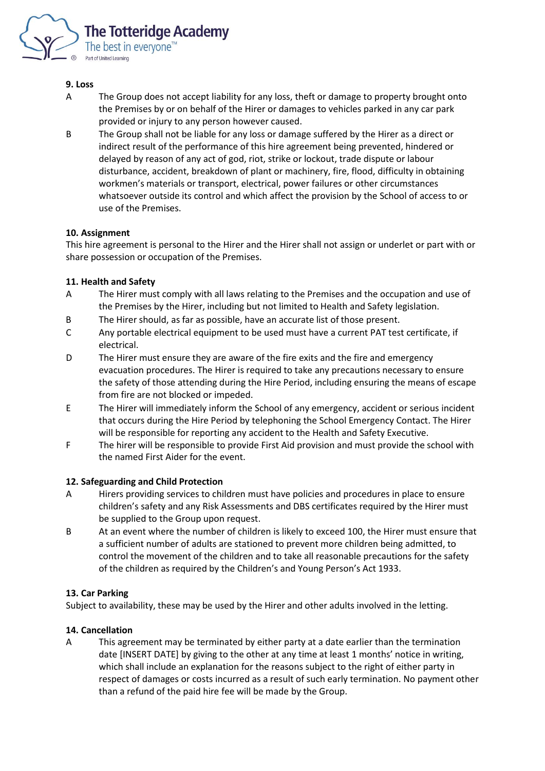

## **9. Loss**

- A The Group does not accept liability for any loss, theft or damage to property brought onto the Premises by or on behalf of the Hirer or damages to vehicles parked in any car park provided or injury to any person however caused.
- B The Group shall not be liable for any loss or damage suffered by the Hirer as a direct or indirect result of the performance of this hire agreement being prevented, hindered or delayed by reason of any act of god, riot, strike or lockout, trade dispute or labour disturbance, accident, breakdown of plant or machinery, fire, flood, difficulty in obtaining workmen's materials or transport, electrical, power failures or other circumstances whatsoever outside its control and which affect the provision by the School of access to or use of the Premises.

## **10. Assignment**

This hire agreement is personal to the Hirer and the Hirer shall not assign or underlet or part with or share possession or occupation of the Premises.

## **11. Health and Safety**

- A The Hirer must comply with all laws relating to the Premises and the occupation and use of the Premises by the Hirer, including but not limited to Health and Safety legislation.
- B The Hirer should, as far as possible, have an accurate list of those present.
- C Any portable electrical equipment to be used must have a current PAT test certificate, if electrical.
- D The Hirer must ensure they are aware of the fire exits and the fire and emergency evacuation procedures. The Hirer is required to take any precautions necessary to ensure the safety of those attending during the Hire Period, including ensuring the means of escape from fire are not blocked or impeded.
- E The Hirer will immediately inform the School of any emergency, accident or serious incident that occurs during the Hire Period by telephoning the School Emergency Contact. The Hirer will be responsible for reporting any accident to the Health and Safety Executive.
- F The hirer will be responsible to provide First Aid provision and must provide the school with the named First Aider for the event.

#### **12. Safeguarding and Child Protection**

- A Hirers providing services to children must have policies and procedures in place to ensure children's safety and any Risk Assessments and DBS certificates required by the Hirer must be supplied to the Group upon request.
- B At an event where the number of children is likely to exceed 100, the Hirer must ensure that a sufficient number of adults are stationed to prevent more children being admitted, to control the movement of the children and to take all reasonable precautions for the safety of the children as required by the Children's and Young Person's Act 1933.

# **13. Car Parking**

Subject to availability, these may be used by the Hirer and other adults involved in the letting.

#### **14. Cancellation**

A This agreement may be terminated by either party at a date earlier than the termination date [INSERT DATE] by giving to the other at any time at least 1 months' notice in writing, which shall include an explanation for the reasons subject to the right of either party in respect of damages or costs incurred as a result of such early termination. No payment other than a refund of the paid hire fee will be made by the Group.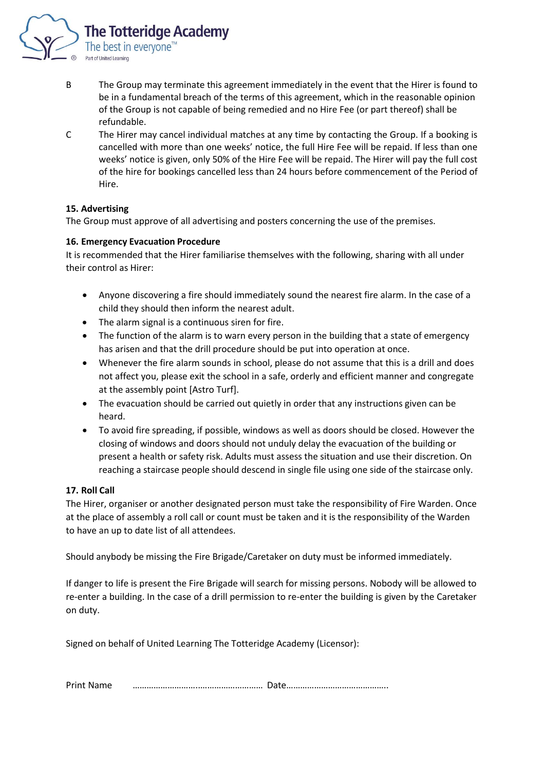

- B The Group may terminate this agreement immediately in the event that the Hirer is found to be in a fundamental breach of the terms of this agreement, which in the reasonable opinion of the Group is not capable of being remedied and no Hire Fee (or part thereof) shall be refundable.
- C The Hirer may cancel individual matches at any time by contacting the Group. If a booking is cancelled with more than one weeks' notice, the full Hire Fee will be repaid. If less than one weeks' notice is given, only 50% of the Hire Fee will be repaid. The Hirer will pay the full cost of the hire for bookings cancelled less than 24 hours before commencement of the Period of Hire.

## **15. Advertising**

The Group must approve of all advertising and posters concerning the use of the premises.

## **16. Emergency Evacuation Procedure**

It is recommended that the Hirer familiarise themselves with the following, sharing with all under their control as Hirer:

- Anyone discovering a fire should immediately sound the nearest fire alarm. In the case of a child they should then inform the nearest adult.
- The alarm signal is a continuous siren for fire.
- The function of the alarm is to warn every person in the building that a state of emergency has arisen and that the drill procedure should be put into operation at once.
- Whenever the fire alarm sounds in school, please do not assume that this is a drill and does not affect you, please exit the school in a safe, orderly and efficient manner and congregate at the assembly point [Astro Turf].
- The evacuation should be carried out quietly in order that any instructions given can be heard.
- To avoid fire spreading, if possible, windows as well as doors should be closed. However the closing of windows and doors should not unduly delay the evacuation of the building or present a health or safety risk. Adults must assess the situation and use their discretion. On reaching a staircase people should descend in single file using one side of the staircase only.

# **17. Roll Call**

The Hirer, organiser or another designated person must take the responsibility of Fire Warden. Once at the place of assembly a roll call or count must be taken and it is the responsibility of the Warden to have an up to date list of all attendees.

Should anybody be missing the Fire Brigade/Caretaker on duty must be informed immediately.

If danger to life is present the Fire Brigade will search for missing persons. Nobody will be allowed to re-enter a building. In the case of a drill permission to re-enter the building is given by the Caretaker on duty.

Signed on behalf of United Learning The Totteridge Academy (Licensor):

Print Name ………………………..……………………… Date……………………………………..